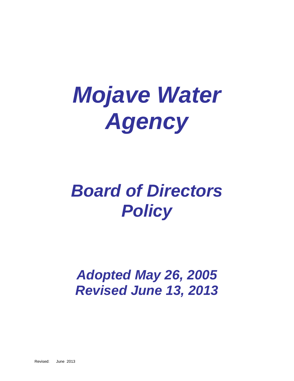# *Mojave Water Agency*

## *Board of Directors Policy*

## *Adopted May 26, 2005 Revised June 13, 2013*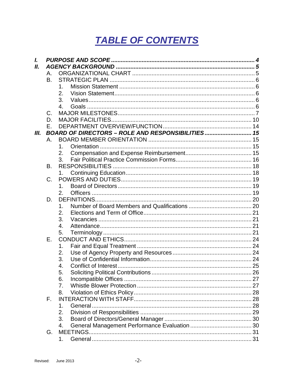## **TABLE OF CONTENTS**

| L<br>Ш. |             |                |  |  |  |
|---------|-------------|----------------|--|--|--|
|         | Α.          |                |  |  |  |
|         | <b>B.</b>   |                |  |  |  |
|         |             | 1.             |  |  |  |
|         |             | 2.             |  |  |  |
|         |             |                |  |  |  |
|         |             | 3.             |  |  |  |
|         |             | 4.             |  |  |  |
|         | C.          |                |  |  |  |
|         | D.          |                |  |  |  |
|         | Е.          |                |  |  |  |
| Ш.      |             |                |  |  |  |
|         | Α.          |                |  |  |  |
|         |             | $\mathbf 1$    |  |  |  |
|         |             | 2.             |  |  |  |
|         |             | 3.             |  |  |  |
|         | <b>B.</b>   |                |  |  |  |
|         |             |                |  |  |  |
|         | $C$ .       | 1.             |  |  |  |
|         |             |                |  |  |  |
|         |             | 1.             |  |  |  |
|         |             | 2.             |  |  |  |
|         | D.          |                |  |  |  |
|         |             | 1.             |  |  |  |
|         |             | 2.             |  |  |  |
|         |             | 3.             |  |  |  |
|         |             | $\mathbf{4}$ . |  |  |  |
|         |             | 5.             |  |  |  |
|         | Ε.          |                |  |  |  |
|         |             | 1.             |  |  |  |
|         |             | 2.             |  |  |  |
|         |             | 3.             |  |  |  |
|         |             | 4.             |  |  |  |
|         |             |                |  |  |  |
|         |             | 5.<br>6.       |  |  |  |
|         |             |                |  |  |  |
|         |             | 7 <sub>1</sub> |  |  |  |
|         |             | 8.             |  |  |  |
|         | $F_{\rm L}$ |                |  |  |  |
|         |             | 1.             |  |  |  |
|         |             | 2.             |  |  |  |
|         |             | 3.             |  |  |  |
|         |             | 4.             |  |  |  |
|         | G.          |                |  |  |  |
|         |             | 1.             |  |  |  |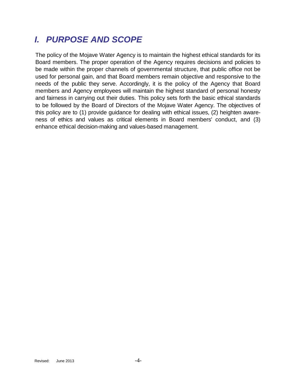## <span id="page-3-0"></span>*I. PURPOSE AND SCOPE*

The policy of the Mojave Water Agency is to maintain the highest ethical standards for its Board members. The proper operation of the Agency requires decisions and policies to be made within the proper channels of governmental structure, that public office not be used for personal gain, and that Board members remain objective and responsive to the needs of the public they serve. Accordingly, it is the policy of the Agency that Board members and Agency employees will maintain the highest standard of personal honesty and fairness in carrying out their duties. This policy sets forth the basic ethical standards to be followed by the Board of Directors of the Mojave Water Agency. The objectives of this policy are to (1) provide guidance for dealing with ethical issues, (2) heighten awareness of ethics and values as critical elements in Board members' conduct, and (3) enhance ethical decision-making and values-based management.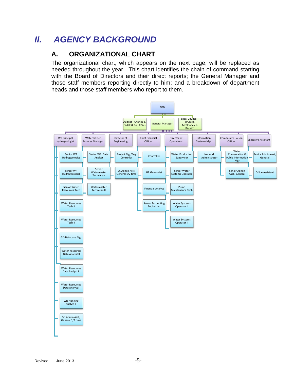## <span id="page-4-1"></span><span id="page-4-0"></span>*II. AGENCY BACKGROUND*

#### **A. ORGANIZATIONAL CHART**

The organizational chart, which appears on the next page, will be replaced as needed throughout the year. This chart identifies the chain of command starting with the Board of Directors and their direct reports; the General Manager and those staff members reporting directly to him; and a breakdown of department heads and those staff members who report to them.

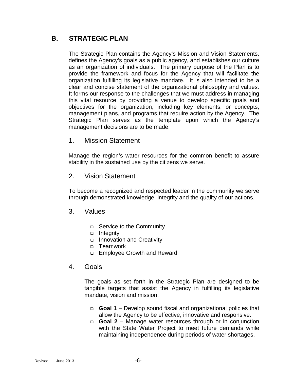#### <span id="page-5-0"></span>**B. STRATEGIC PLAN**

The Strategic Plan contains the Agency's Mission and Vision Statements, defines the Agency's goals as a public agency, and establishes our culture as an organization of individuals. The primary purpose of the Plan is to provide the framework and focus for the Agency that will facilitate the organization fulfilling its legislative mandate. It is also intended to be a clear and concise statement of the organizational philosophy and values. It forms our response to the challenges that we must address in managing this vital resource by providing a venue to develop specific goals and objectives for the organization, including key elements, or concepts, management plans, and programs that require action by the Agency. The Strategic Plan serves as the template upon which the Agency's management decisions are to be made.

<span id="page-5-1"></span>1. Mission Statement

Manage the region's water resources for the common benefit to assure stability in the sustained use by the citizens we serve.

<span id="page-5-2"></span>2. Vision Statement

To become a recognized and respected leader in the community we serve through demonstrated knowledge, integrity and the quality of our actions.

- <span id="page-5-3"></span>3. Values
	- □ Service to the Community
	- □ Integrity
	- o Innovation and Creativity
	- □ Teamwork
	- □ Employee Growth and Reward
- <span id="page-5-4"></span>4. Goals

The goals as set forth in the Strategic Plan are designed to be tangible targets that assist the Agency in fulfilling its legislative mandate, vision and mission.

- **Goal 1** Develop sound fiscal and organizational policies that allow the Agency to be effective, innovative and responsive.
- **Goal 2** Manage water resources through or in conjunction with the State Water Project to meet future demands while maintaining independence during periods of water shortages.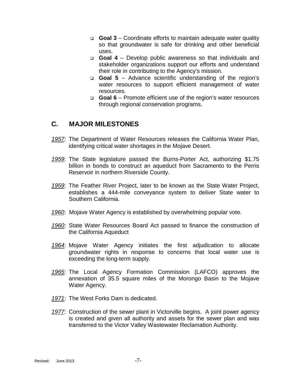- **Goal 3** Coordinate efforts to maintain adequate water quality so that groundwater is safe for drinking and other beneficial uses.
- **Goal 4** Develop public awareness so that individuals and stakeholder organizations support our efforts and understand their role in contributing to the Agency's mission.
- **Goal 5** Advance scientific understanding of the region's water resources to support efficient management of water resources.
- **Goal 6** Promote efficient use of the region's water resources through regional conservation programs.

#### <span id="page-6-0"></span>**C. MAJOR MILESTONES**

- *1957*: The Department of Water Resources releases the California Water Plan, identifying critical water shortages in the Mojave Desert.
- *1959*: The State legislature passed the Burns-Porter Act, authorizing \$1.75 billion in bonds to construct an aqueduct from Sacramento to the Perris Reservoir in northern Riverside County.
- *1959*: The Feather River Project, later to be known as the State Water Project, establishes a 444-mile conveyance system to deliver State water to Southern California.
- *1960*: Mojave Water Agency is established by overwhelming popular vote.
- *1960*: State Water Resources Board Act passed to finance the construction of the California Aqueduct
- *1964*: Mojave Water Agency initiates the first adjudication to allocate groundwater rights in response to concerns that local water use is exceeding the long-term supply.
- *1965*: The Local Agency Formation Commission (LAFCO) approves the annexation of 35.5 square miles of the Morongo Basin to the Mojave Water Agency.
- *1971*: The West Forks Dam is dedicated.
- *1977*: Construction of the sewer plant in Victorville begins. A joint power agency is created and given all authority and assets for the sewer plan and was transferred to the Victor Valley Wastewater Reclamation Authority.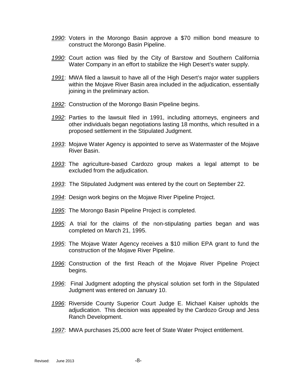- *1990*: Voters in the Morongo Basin approve a \$70 million bond measure to construct the Morongo Basin Pipeline.
- *1990*: Court action was filed by the City of Barstow and Southern California Water Company in an effort to stabilize the High Desert's water supply.
- *1991*: MWA filed a lawsuit to have all of the High Desert's major water suppliers within the Mojave River Basin area included in the adjudication, essentially joining in the preliminary action.
- *1992*: Construction of the Morongo Basin Pipeline begins.
- *1992*: Parties to the lawsuit filed in 1991, including attorneys, engineers and other individuals began negotiations lasting 18 months, which resulted in a proposed settlement in the Stipulated Judgment.
- *1993*: Mojave Water Agency is appointed to serve as Watermaster of the Mojave River Basin.
- *1993*: The agriculture-based Cardozo group makes a legal attempt to be excluded from the adjudication.
- *1993*: The Stipulated Judgment was entered by the court on September 22.
- *1994*: Design work begins on the Mojave River Pipeline Project.
- *1995*: The Morongo Basin Pipeline Project is completed.
- *1995*: A trial for the claims of the non-stipulating parties began and was completed on March 21, 1995.
- *1995*: The Mojave Water Agency receives a \$10 million EPA grant to fund the construction of the Mojave River Pipeline.
- *1996*: Construction of the first Reach of the Mojave River Pipeline Project begins.
- *1996*: Final Judgment adopting the physical solution set forth in the Stipulated Judgment was entered on January 10.
- *1996*: Riverside County Superior Court Judge E. Michael Kaiser upholds the adjudication. This decision was appealed by the Cardozo Group and Jess Ranch Development.
- *1997*: MWA purchases 25,000 acre feet of State Water Project entitlement.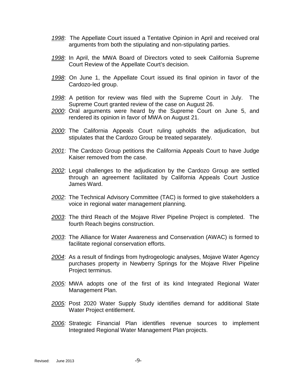- *1998*: The Appellate Court issued a Tentative Opinion in April and received oral arguments from both the stipulating and non-stipulating parties.
- *1998*: In April, the MWA Board of Directors voted to seek California Supreme Court Review of the Appellate Court's decision.
- *1998*: On June 1, the Appellate Court issued its final opinion in favor of the Cardozo-led group.
- *1998*: A petition for review was filed with the Supreme Court in July. The Supreme Court granted review of the case on August 26.
- *2000*: Oral arguments were heard by the Supreme Court on June 5, and rendered its opinion in favor of MWA on August 21.
- *2000*: The California Appeals Court ruling upholds the adjudication, but stipulates that the Cardozo Group be treated separately.
- *2001*: The Cardozo Group petitions the California Appeals Court to have Judge Kaiser removed from the case.
- *2002*: Legal challenges to the adjudication by the Cardozo Group are settled through an agreement facilitated by California Appeals Court Justice James Ward.
- *2002*: The Technical Advisory Committee (TAC) is formed to give stakeholders a voice in regional water management planning.
- *2003*: The third Reach of the Mojave River Pipeline Project is completed. The fourth Reach begins construction.
- *2003*: The Alliance for Water Awareness and Conservation (AWAC) is formed to facilitate regional conservation efforts.
- *2004*: As a result of findings from hydrogeologic analyses, Mojave Water Agency purchases property in Newberry Springs for the Mojave River Pipeline Project terminus.
- *2005:* MWA adopts one of the first of its kind Integrated Regional Water Management Plan.
- *2005:* Post 2020 Water Supply Study identifies demand for additional State Water Project entitlement.
- *2006:* Strategic Financial Plan identifies revenue sources to implement Integrated Regional Water Management Plan projects.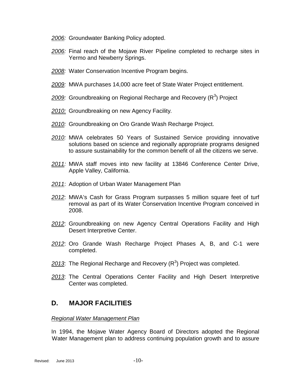- *2006:* Groundwater Banking Policy adopted.
- *2006:* Final reach of the Mojave River Pipeline completed to recharge sites in Yermo and Newberry Springs.
- *2008:* Water Conservation Incentive Program begins.
- *2009:* MWA purchases 14,000 acre feet of State Water Project entitlement.
- 2009: Groundbreaking on Regional Recharge and Recovery (R<sup>3</sup>) Project
- *2010:* Groundbreaking on new Agency Facility*.*
- *2010:* Groundbreaking on Oro Grande Wash Recharge Project.
- *2010:* MWA celebrates 50 Years of Sustained Service providing innovative solutions based on science and regionally appropriate programs designed to assure sustainability for the common benefit of all the citizens we serve.
- *2011:* MWA staff moves into new facility at 13846 Conference Center Drive, Apple Valley, California.
- *2011*: Adoption of Urban Water Management Plan
- *2012*: MWA's Cash for Grass Program surpasses 5 million square feet of turf removal as part of its Water Conservation Incentive Program conceived in 2008.
- *2012*: Groundbreaking on new Agency Central Operations Facility and High Desert Interpretive Center.
- *2012*: Oro Grande Wash Recharge Project Phases A, B, and C-1 were completed.
- 2013: The Regional Recharge and Recovery (R<sup>3</sup>) Project was completed.
- *2013*: The Central Operations Center Facility and High Desert Interpretive Center was completed.

#### <span id="page-9-0"></span>**D. MAJOR FACILITIES**

#### *Regional Water Management Plan*

In 1994, the Mojave Water Agency Board of Directors adopted the Regional Water Management plan to address continuing population growth and to assure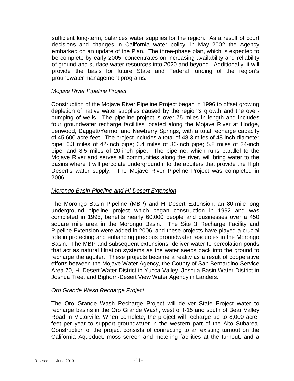sufficient long-term, balances water supplies for the region. As a result of court decisions and changes in California water policy, in May 2002 the Agency embarked on an update of the Plan. The three-phase plan, which is expected to be complete by early 2005, concentrates on increasing availability and reliability of ground and surface water resources into 2020 and beyond. Additionally, it will provide the basis for future State and Federal funding of the region's groundwater management programs.

#### *Mojave River Pipeline Project*

Construction of the Mojave River Pipeline Project began in 1996 to offset growing depletion of native water supplies caused by the region's growth and the overpumping of wells. The pipeline project is over 75 miles in length and includes four groundwater recharge facilities located along the Mojave River at Hodge, Lenwood, Daggett/Yermo, and Newberry Springs, with a total recharge capacity of 45,600 acre-feet. The project includes a total of 48.3 miles of 48-inch diameter pipe; 6.3 miles of 42-inch pipe; 6.4 miles of 36-inch pipe; 5.8 miles of 24-inch pipe, and 8.5 miles of 20-inch pipe. The pipeline, which runs parallel to the Mojave River and serves all communities along the river, will bring water to the basins where it will percolate underground into the aquifers that provide the High Desert's water supply. The Mojave River Pipeline Project was completed in 2006.

#### *Morongo Basin Pipeline and Hi-Desert Extension*

The Morongo Basin Pipeline (MBP) and Hi-Desert Extension, an 80-mile long underground pipeline project which began construction in 1992 and was completed in 1995, benefits nearly 60,000 people and businesses over a 450 square mile area in the Morongo Basin. The Site 3 Recharge Facility and Pipeline Extension were added in 2006, and these projects have played a crucial role in protecting and enhancing precious groundwater resources in the Morongo Basin. The MBP and subsequent extensions deliver water to percolation ponds that act as natural filtration systems as the water seeps back into the ground to recharge the aquifer. These projects became a reality as a result of cooperative efforts between the Mojave Water Agency, the County of San Bernardino Service Area 70, Hi-Desert Water District in Yucca Valley, Joshua Basin Water District in Joshua Tree, and Bighorn-Desert View Water Agency in Landers.

#### *Oro Grande Wash Recharge Project*

The Oro Grande Wash Recharge Project will deliver State Project water to recharge basins in the Oro Grande Wash, west of I-15 and south of Bear Valley Road in Victorville. When complete, the project will recharge up to 8,000 acrefeet per year to support groundwater in the western part of the Alto Subarea. Construction of the project consists of connecting to an existing turnout on the California Aqueduct, moss screen and metering facilities at the turnout, and a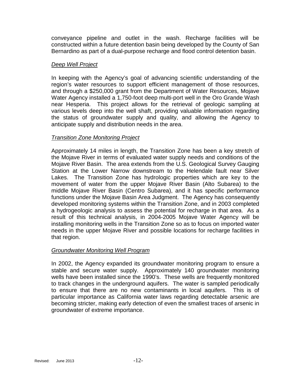conveyance pipeline and outlet in the wash. Recharge facilities will be constructed within a future detention basin being developed by the County of San Bernardino as part of a dual-purpose recharge and flood control detention basin.

#### *Deep Well Project*

In keeping with the Agency's goal of advancing scientific understanding of the region's water resources to support efficient management of those resources, and through a \$250,000 grant from the Department of Water Resources, Mojave Water Agency installed a 1,750-foot deep multi-port well in the Oro Grande Wash near Hesperia. This project allows for the retrieval of geologic sampling at various levels deep into the well shaft, providing valuable information regarding the status of groundwater supply and quality, and allowing the Agency to anticipate supply and distribution needs in the area.

#### *Transition Zone Monitoring Project*

Approximately 14 miles in length, the Transition Zone has been a key stretch of the Mojave River in terms of evaluated water supply needs and conditions of the Mojave River Basin. The area extends from the U.S. Geological Survey Gauging Station at the Lower Narrow downstream to the Helendale fault near Silver Lakes. The Transition Zone has hydrologic properties which are key to the movement of water from the upper Mojave River Basin (Alto Subarea) to the middle Mojave River Basin (Centro Subarea), and it has specific performance functions under the Mojave Basin Area Judgment. The Agency has consequently developed monitoring systems within the Transition Zone, and in 2003 completed a hydrogeologic analysis to assess the potential for recharge in that area. As a result of this technical analysis, in 2004-2005 Mojave Water Agency will be installing monitoring wells in the Transition Zone so as to focus on imported water needs in the upper Mojave River and possible locations for recharge facilities in that region.

#### *Groundwater Monitoring Well Program*

In 2002, the Agency expanded its groundwater monitoring program to ensure a stable and secure water supply. Approximately 140 groundwater monitoring wells have been installed since the 1990's. These wells are frequently monitored to track changes in the underground aquifers. The water is sampled periodically to ensure that there are no new contaminants in local aquifers. This is of particular importance as California water laws regarding detectable arsenic are becoming stricter, making early detection of even the smallest traces of arsenic in groundwater of extreme importance.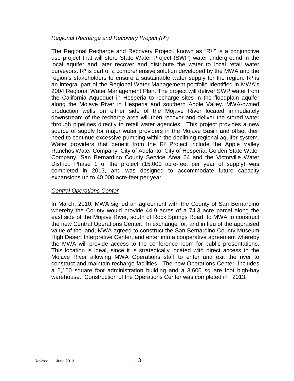#### *Regional Recharge and Recovery Project (R³)*

The Regional Recharge and Recovery Project, known as "R<sup>3</sup>," is a conjunctive use project that will store State Water Project (SWP) water underground in the local aquifer and later recover and distribute the water to local retail water purveyors.  $R<sup>3</sup>$  is part of a comprehensive solution developed by the MWA and the region's stakeholders to ensure a sustainable water supply for the region.  $R<sup>3</sup>$  is an integral part of the Regional Water Management portfolio identified in MWA's 2004 Regional Water Management Plan. The project will deliver SWP water from the California Aqueduct in Hesperia to recharge sites in the floodplain aquifer along the Mojave River in Hesperia and southern Apple Valley. MWA-owned production wells on either side of the Mojave River located immediately downstream of the recharge area will then recover and deliver the stored water through pipelines directly to retail water agencies. This project provides a new source of supply for major water providers in the Mojave Basin and offset their need to continue excessive pumping within the declining regional aquifer system. Water providers that benefit from the  $R<sup>3</sup>$  Project include the Apple Valley Ranchos Water Company, City of Adelanto, City of Hesperia, Golden State Water Company, San Bernardino County Service Area 64 and the Victorville Water District. Phase 1 of the project (15,000 acre-feet per year of supply) was completed in 2013, and was designed to accommodate future capacity expansions up to 40,000 acre-feet per year.

#### *Central Operations Center*

In March, 2010, MWA signed an agreement with the County of San Bernardino whereby the County would provide 44.9 acres of a 74.3 acre parcel along the east side of the Mojave River, south of Rock Springs Road, to MWA to construct the new Central Operations Center. In exchange for, and in lieu of the appraised value of the land, MWA agreed to construct the San Bernardino County Museum High Desert Interpretive Center, and enter into a cooperative agreement whereby the MWA will provide access to the conference room for public presentations. This location is ideal, since it is strategically located with direct access to the Mojave River allowing MWA Operations staff to enter and exit the river to construct and maintain recharge facilities. The new Operations Center includes a 5,100 square foot administration building and a 3,600 square foot high-bay warehouse. Construction of the Operations Center was completed in 2013.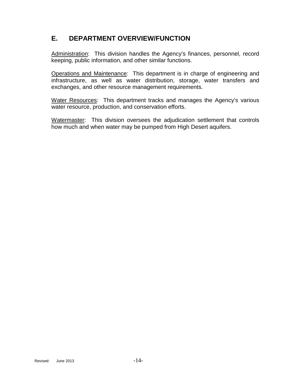#### <span id="page-13-0"></span>**E. DEPARTMENT OVERVIEW/FUNCTION**

Administration: This division handles the Agency's finances, personnel, record keeping, public information, and other similar functions.

Operations and Maintenance: This department is in charge of engineering and infrastructure, as well as water distribution, storage, water transfers and exchanges, and other resource management requirements.

Water Resources: This department tracks and manages the Agency's various water resource, production, and conservation efforts.

Watermaster: This division oversees the adjudication settlement that controls how much and when water may be pumped from High Desert aquifers.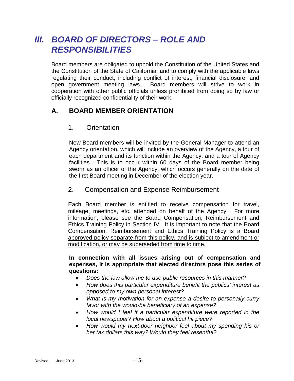### <span id="page-14-0"></span>*III. BOARD OF DIRECTORS – ROLE AND RESPONSIBILITIES*

Board members are obligated to uphold the Constitution of the United States and the Constitution of the State of California, and to comply with the applicable laws regulating their conduct, including conflict of interest, financial disclosure, and open government meeting laws. Board members will strive to work in cooperation with other public officials unless prohibited from doing so by law or officially recognized confidentiality of their work.

#### <span id="page-14-2"></span><span id="page-14-1"></span>**A. BOARD MEMBER ORIENTATION**

#### 1. Orientation

New Board members will be invited by the General Manager to attend an Agency orientation, which will include an overview of the Agency, a tour of each department and its function within the Agency, and a tour of Agency facilities. This is to occur within 60 days of the Board member being sworn as an officer of the Agency, which occurs generally on the date of the first Board meeting in December of the election year.

#### <span id="page-14-3"></span>2. Compensation and Expense Reimbursement

Each Board member is entitled to receive compensation for travel, mileage, meetings, etc. attended on behalf of the Agency. For more information, please see the Board Compensation, Reimbursement and Ethics Training Policy in Section IV. It is important to note that the Board Compensation, Reimbursement and Ethics Training Policy is a Board approved policy separate from this policy, and is subject to amendment or modification, or may be superseded from time to time.

**In connection with all issues arising out of compensation and expenses, it is appropriate that elected directors pose this series of questions:**

- *Does the law allow me to use public resources in this manner?*
- *How does this particular expenditure benefit the publics' interest as opposed to my own personal interest?*
- *What is my motivation for an expense a desire to personally curry favor with the would-be beneficiary of an expense?*
- *How would I feel if a particular expenditure were reported in the local newspaper? How about a political hit piece?*
- *How would my next-door neighbor feel about my spending his or her tax dollars this way? Would they feel resentful?*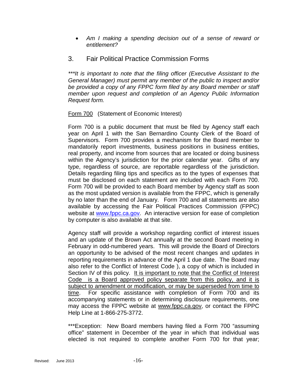• *Am I making a spending decision out of a sense of reward or entitlement?*

#### <span id="page-15-0"></span>3. Fair Political Practice Commission Forms

*\*\*\*It is important to note that the filing officer (Executive Assistant to the General Manager) must permit any member of the public to inspect and/or be provided a copy of any FPPC form filed by any Board member or staff member upon request and completion of an Agency Public Information Request form.* 

#### Form 700 (Statement of Economic Interest)

Form 700 is a public document that must be filed by Agency staff each year on April 1 with the San Bernardino County Clerk of the Board of Supervisors. Form 700 provides a mechanism for the Board member to mandatorily report investments, business positions in business entities, real property, and income from sources that are located or doing business within the Agency's jurisdiction for the prior calendar year. Gifts of any type, regardless of source, are reportable regardless of the jurisdiction. Details regarding filing tips and specifics as to the types of expenses that must be disclosed on each statement are included with each Form 700. Form 700 will be provided to each Board member by Agency staff as soon as the most updated version is available from the FPPC, which is generally by no later than the end of January. Form 700 and all statements are also available by accessing the Fair Political Practices Commission (FPPC) website at [www.fppc.ca.gov.](http://www.fppc.ca.gov/) An interactive version for ease of completion by computer is also available at that site.

Agency staff will provide a workshop regarding conflict of interest issues and an update of the Brown Act annually at the second Board meeting in February in odd-numbered years. This will provide the Board of Directors an opportunity to be advised of the most recent changes and updates in reporting requirements in advance of the April 1 due date. The Board may also refer to the Conflict of Interest Code ), a copy of which is included in Section IV of this policy. It is important to note that the Conflict of Interest Code is a Board approved policy separate from this policy, and it is subject to amendment or modification, or may be superseded from time to time. For specific assistance with completion of Form 700 and its accompanying statements or in determining disclosure requirements, one may access the FPPC website at [www.fppc.ca.gov,](http://www.fppc.ca.gov/) or contact the FPPC Help Line at 1-866-275-3772.

\*\*\*Exception: New Board members having filed a Form 700 "assuming office" statement in December of the year in which that individual was elected is not required to complete another Form 700 for that year;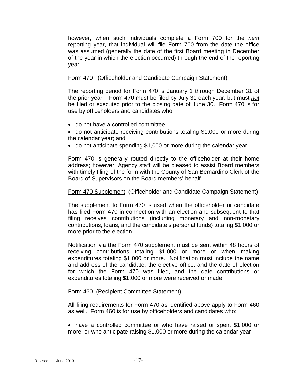however, when such individuals complete a Form 700 for the *next* reporting year, that individual will file Form 700 from the date the office was assumed (generally the date of the first Board meeting in December of the year in which the election occurred) through the end of the reporting year.

#### Form 470 (Officeholder and Candidate Campaign Statement)

The reporting period for Form 470 is January 1 through December 31 of the prior year. Form 470 must be filed by July 31 each year, but must *not* be filed or executed prior to the closing date of June 30. Form 470 is for use by officeholders and candidates who:

- do not have a controlled committee
- do not anticipate receiving contributions totaling \$1,000 or more during the calendar year; and
- do not anticipate spending \$1,000 or more during the calendar year

Form 470 is generally routed directly to the officeholder at their home address; however, Agency staff will be pleased to assist Board members with timely filing of the form with the County of San Bernardino Clerk of the Board of Supervisors on the Board members' behalf.

#### Form 470 Supplement (Officeholder and Candidate Campaign Statement)

The supplement to Form 470 is used when the officeholder or candidate has filed Form 470 in connection with an election and subsequent to that filing receives contributions (including monetary and non-monetary contributions, loans, and the candidate's personal funds) totaling \$1,000 or more prior to the election.

Notification via the Form 470 supplement must be sent within 48 hours of receiving contributions totaling \$1,000 or more or when making expenditures totaling \$1,000 or more. Notification must include the name and address of the candidate, the elective office, and the date of election for which the Form 470 was filed, and the date contributions or expenditures totaling \$1,000 or more were received or made.

#### Form 460 (Recipient Committee Statement)

All filing requirements for Form 470 as identified above apply to Form 460 as well. Form 460 is for use by officeholders and candidates who:

• have a controlled committee or who have raised or spent \$1,000 or more, or who anticipate raising \$1,000 or more during the calendar year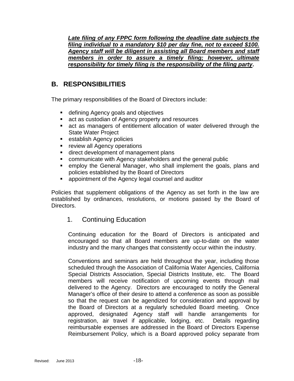Late filing of any FPPC form following the deadline date subjects the *filing individual to a mandatory \$10 per day fine, not to exceed \$100. Agency staff will be diligent in assisting all Board members and staff members in order to assure a timely filing; however, ultimate responsibility for timely filing is the responsibility of the filing party***.** 

#### <span id="page-17-0"></span>**B. RESPONSIBILITIES**

The primary responsibilities of the Board of Directors include:

- defining Agency goals and objectives
- **act as custodian of Agency property and resources**
- act as managers of entitlement allocation of water delivered through the State Water Project
- **Exercise Entity Agency policies**
- **F** review all Agency operations
- **direct development of management plans**
- communicate with Agency stakeholders and the general public
- employ the General Manager, who shall implement the goals, plans and policies established by the Board of Directors
- appointment of the Agency legal counsel and auditor

<span id="page-17-1"></span>Policies that supplement obligations of the Agency as set forth in the law are established by ordinances, resolutions, or motions passed by the Board of Directors.

#### 1. Continuing Education

Continuing education for the Board of Directors is anticipated and encouraged so that all Board members are up-to-date on the water industry and the many changes that consistently occur within the industry.

Conventions and seminars are held throughout the year, including those scheduled through the Association of California Water Agencies, California Special Districts Association, Special Districts Institute, etc. The Board members will receive notification of upcoming events through mail delivered to the Agency. Directors are encouraged to notify the General Manager's office of their desire to attend a conference as soon as possible so that the request can be agendized for consideration and approval by the Board of Directors at a regularly scheduled Board meeting. Once approved, designated Agency staff will handle arrangements for registration, air travel if applicable, lodging, etc. Details regarding reimbursable expenses are addressed in the Board of Directors Expense Reimbursement Policy, which is a Board approved policy separate from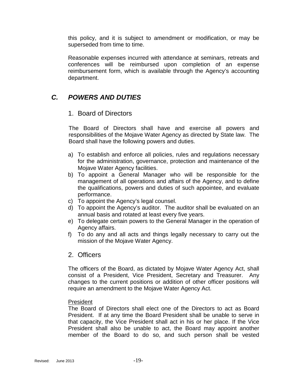this policy, and it is subject to amendment or modification, or may be superseded from time to time.

Reasonable expenses incurred with attendance at seminars, retreats and conferences will be reimbursed upon completion of an expense reimbursement form, which is available through the Agency's accounting department.

#### <span id="page-18-1"></span><span id="page-18-0"></span>*C. POWERS AND DUTIES*

#### 1. Board of Directors

The Board of Directors shall have and exercise all powers and responsibilities of the Mojave Water Agency as directed by State law. The Board shall have the following powers and duties.

- a) To establish and enforce all policies, rules and regulations necessary for the administration, governance, protection and maintenance of the Mojave Water Agency facilities.
- b) To appoint a General Manager who will be responsible for the management of all operations and affairs of the Agency, and to define the qualifications, powers and duties of such appointee, and evaluate performance.
- c) To appoint the Agency's legal counsel.
- d) To appoint the Agency's auditor. The auditor shall be evaluated on an annual basis and rotated at least every five years.
- e) To delegate certain powers to the General Manager in the operation of Agency affairs.
- f) To do any and all acts and things legally necessary to carry out the mission of the Mojave Water Agency.

#### <span id="page-18-2"></span>2. Officers

The officers of the Board, as dictated by Mojave Water Agency Act, shall consist of a President, Vice President, Secretary and Treasurer. Any changes to the current positions or addition of other officer positions will require an amendment to the Mojave Water Agency Act.

#### President

The Board of Directors shall elect one of the Directors to act as Board President. If at any time the Board President shall be unable to serve in that capacity, the Vice President shall act in his or her place. If the Vice President shall also be unable to act, the Board may appoint another member of the Board to do so, and such person shall be vested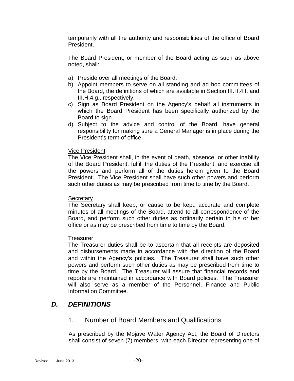temporarily with all the authority and responsibilities of the office of Board President.

The Board President, or member of the Board acting as such as above noted, shall:

- a) Preside over all meetings of the Board.
- b) Appoint members to serve on all standing and ad hoc committees of the Board, the definitions of which are available in Section III.H.4.f. and III.H.4.g., respectively.
- c) Sign as Board President on the Agency's behalf all instruments in which the Board President has been specifically authorized by the Board to sign.
- d) Subject to the advice and control of the Board, have general responsibility for making sure a General Manager is in place during the President's term of office.

#### Vice President

The Vice President shall, in the event of death, absence, or other inability of the Board President, fulfill the duties of the President, and exercise all the powers and perform all of the duties herein given to the Board President. The Vice President shall have such other powers and perform such other duties as may be prescribed from time to time by the Board.

#### **Secretary**

The Secretary shall keep, or cause to be kept, accurate and complete minutes of all meetings of the Board, attend to all correspondence of the Board, and perform such other duties as ordinarily pertain to his or her office or as may be prescribed from time to time by the Board.

#### **Treasurer**

The Treasurer duties shall be to ascertain that all receipts are deposited and disbursements made in accordance with the direction of the Board and within the Agency's policies. The Treasurer shall have such other powers and perform such other duties as may be prescribed from time to time by the Board. The Treasurer will assure that financial records and reports are maintained in accordance with Board policies. The Treasurer will also serve as a member of the Personnel, Finance and Public Information Committee.

#### <span id="page-19-1"></span><span id="page-19-0"></span>*D. DEFINITIONS*

#### 1. Number of Board Members and Qualifications

As prescribed by the Mojave Water Agency Act, the Board of Directors shall consist of seven (7) members, with each Director representing one of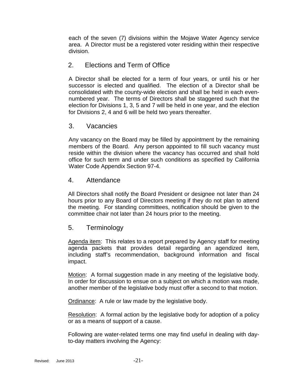each of the seven (7) divisions within the Mojave Water Agency service area. A Director must be a registered voter residing within their respective division.

#### <span id="page-20-0"></span>2. Elections and Term of Office

A Director shall be elected for a term of four years, or until his or her successor is elected and qualified. The election of a Director shall be consolidated with the county-wide election and shall be held in each evennumbered year. The terms of Directors shall be staggered such that the election for Divisions 1, 3, 5 and 7 will be held in one year, and the election for Divisions 2, 4 and 6 will be held two years thereafter.

#### <span id="page-20-1"></span>3. Vacancies

Any vacancy on the Board may be filled by appointment by the remaining members of the Board. Any person appointed to fill such vacancy must reside within the division where the vacancy has occurred and shall hold office for such term and under such conditions as specified by California Water Code Appendix Section 97-4.

#### <span id="page-20-2"></span>4. Attendance

All Directors shall notify the Board President or designee not later than 24 hours prior to any Board of Directors meeting if they do not plan to attend the meeting. For standing committees, notification should be given to the committee chair not later than 24 hours prior to the meeting.

#### <span id="page-20-3"></span>5. Terminology

Agenda item: This relates to a report prepared by Agency staff for meeting agenda packets that provides detail regarding an agendized item, including staff's recommendation, background information and fiscal impact.

Motion: A formal suggestion made in any meeting of the legislative body. In order for discussion to ensue on a subject on which a motion was made, another member of the legislative body must offer a second to that motion.

Ordinance: A rule or law made by the legislative body.

Resolution: A formal action by the legislative body for adoption of a policy or as a means of support of a cause.

Following are water-related terms one may find useful in dealing with dayto-day matters involving the Agency: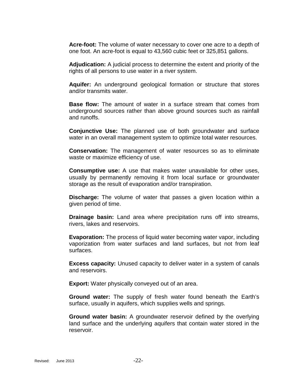**Acre-foot:** The volume of water necessary to cover one acre to a depth of one foot. An acre-foot is equal to 43,560 cubic feet or 325,851 gallons.

**Adjudication:** A judicial process to determine the extent and priority of the rights of all persons to use water in a river system.

**Aquifer:** An underground geological formation or structure that stores and/or transmits water.

**Base flow:** The amount of water in a surface stream that comes from underground sources rather than above ground sources such as rainfall and runoffs.

**Conjunctive Use:** The planned use of both groundwater and surface water in an overall management system to optimize total water resources.

**Conservation:** The management of water resources so as to eliminate waste or maximize efficiency of use.

**Consumptive use:** A use that makes water unavailable for other uses, usually by permanently removing it from local surface or groundwater storage as the result of evaporation and/or transpiration.

**Discharge:** The volume of water that passes a given location within a given period of time.

**Drainage basin:** Land area where precipitation runs off into streams, rivers, lakes and reservoirs.

**Evaporation:** The process of liquid water becoming water vapor, including vaporization from water surfaces and land surfaces, but not from leaf surfaces.

**Excess capacity:** Unused capacity to deliver water in a system of canals and reservoirs.

**Export:** Water physically conveyed out of an area.

**Ground water:** The supply of fresh water found beneath the Earth's surface, usually in aquifers, which supplies wells and springs.

**Ground water basin:** A groundwater reservoir defined by the overlying land surface and the underlying aquifers that contain water stored in the reservoir.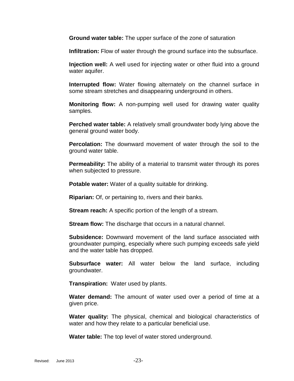**Ground water table:** The upper surface of the zone of saturation

**Infiltration:** Flow of water through the ground surface into the subsurface.

**Injection well:** A well used for injecting water or other fluid into a ground water aquifer.

**Interrupted flow:** Water flowing alternately on the channel surface in some stream stretches and disappearing underground in others.

**Monitoring flow:** A non-pumping well used for drawing water quality samples.

**Perched water table:** A relatively small groundwater body lying above the general ground water body.

**Percolation:** The downward movement of water through the soil to the ground water table.

**Permeability:** The ability of a material to transmit water through its pores when subjected to pressure.

**Potable water:** Water of a quality suitable for drinking.

**Riparian:** Of, or pertaining to, rivers and their banks.

**Stream reach:** A specific portion of the length of a stream.

**Stream flow:** The discharge that occurs in a natural channel.

**Subsidence:** Downward movement of the land surface associated with groundwater pumping, especially where such pumping exceeds safe yield and the water table has dropped.

**Subsurface water:** All water below the land surface, including groundwater.

**Transpiration:** Water used by plants.

**Water demand:** The amount of water used over a period of time at a given price.

**Water quality:** The physical, chemical and biological characteristics of water and how they relate to a particular beneficial use.

**Water table:** The top level of water stored underground.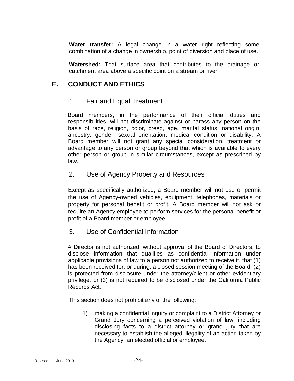**Water transfer:** A legal change in a water right reflecting some combination of a change in ownership, point of diversion and place of use.

**Watershed:** That surface area that contributes to the drainage or catchment area above a specific point on a stream or river.

#### <span id="page-23-1"></span><span id="page-23-0"></span>**E. CONDUCT AND ETHICS**

#### 1. Fair and Equal Treatment

Board members, in the performance of their official duties and responsibilities, will not discriminate against or harass any person on the basis of race, religion, color, creed, age, marital status, national origin, ancestry, gender, sexual orientation, medical condition or disability. A Board member will not grant any special consideration, treatment or advantage to any person or group beyond that which is available to every other person or group in similar circumstances, except as prescribed by law.

#### <span id="page-23-2"></span>2. Use of Agency Property and Resources

Except as specifically authorized, a Board member will not use or permit the use of Agency-owned vehicles, equipment, telephones, materials or property for personal benefit or profit. A Board member will not ask or require an Agency employee to perform services for the personal benefit or profit of a Board member or employee.

#### <span id="page-23-3"></span>3. Use of Confidential Information

A Director is not authorized, without approval of the Board of Directors, to disclose information that qualifies as confidential information under applicable provisions of law to a person not authorized to receive it, that (1) has been received for, or during, a closed session meeting of the Board, (2) is protected from disclosure under the attorney/client or other evidentiary privilege, or (3) is not required to be disclosed under the California Public Records Act.

This section does not prohibit any of the following:

1) making a confidential inquiry or complaint to a District Attorney or Grand Jury concerning a perceived violation of law, including disclosing facts to a district attorney or grand jury that are necessary to establish the alleged illegality of an action taken by the Agency, an elected official or employee.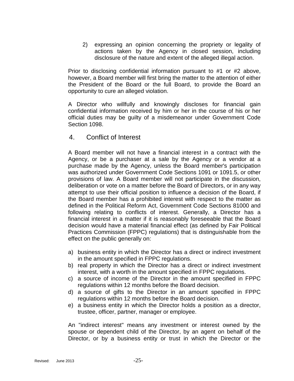2) expressing an opinion concerning the propriety or legality of actions taken by the Agency in closed session, including disclosure of the nature and extent of the alleged illegal action.

Prior to disclosing confidential information pursuant to #1 or #2 above, however, a Board member will first bring the matter to the attention of either the President of the Board or the full Board, to provide the Board an opportunity to cure an alleged violation.

A Director who willfully and knowingly discloses for financial gain confidential information received by him or her in the course of his or her official duties may be guilty of a misdemeanor under Government Code Section 1098.

#### <span id="page-24-0"></span>4. Conflict of Interest

A Board member will not have a financial interest in a contract with the Agency, or be a purchaser at a sale by the Agency or a vendor at a purchase made by the Agency, unless the Board member's participation was authorized under Government Code Sections 1091 or 1091.5, or other provisions of law. A Board member will not participate in the discussion, deliberation or vote on a matter before the Board of Directors, or in any way attempt to use their official position to influence a decision of the Board, if the Board member has a prohibited interest with respect to the matter as defined in the Political Reform Act, Government Code Sections 81000 and following relating to conflicts of interest. Generally, a Director has a financial interest in a matter if it is reasonably foreseeable that the Board decision would have a material financial effect (as defined by Fair Political Practices Commission (FPPC) regulations) that is distinguishable from the effect on the public generally on:

- a) business entity in which the Director has a direct or indirect investment in the amount specified in FPPC regulations.
- b) real property in which the Director has a direct or indirect investment interest, with a worth in the amount specified in FPPC regulations.
- c) a source of income of the Director in the amount specified in FPPC regulations within 12 months before the Board decision.
- d) a source of gifts to the Director in an amount specified in FPPC regulations within 12 months before the Board decision.
- e) a business entity in which the Director holds a position as a director, trustee, officer, partner, manager or employee.

An "indirect interest" means any investment or interest owned by the spouse or dependent child of the Director, by an agent on behalf of the Director, or by a business entity or trust in which the Director or the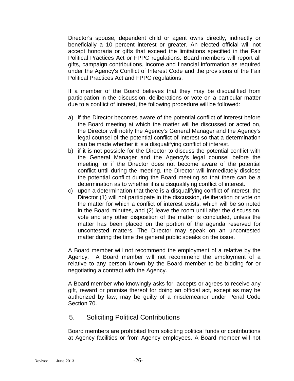Director's spouse, dependent child or agent owns directly, indirectly or beneficially a 10 percent interest or greater. An elected official will not accept honoraria or gifts that exceed the limitations specified in the Fair Political Practices Act or FPPC regulations. Board members will report all gifts, campaign contributions, income and financial information as required under the Agency's Conflict of Interest Code and the provisions of the Fair Political Practices Act and FPPC regulations.

If a member of the Board believes that they may be disqualified from participation in the discussion, deliberations or vote on a particular matter due to a conflict of interest, the following procedure will be followed:

- a) if the Director becomes aware of the potential conflict of interest before the Board meeting at which the matter will be discussed or acted on, the Director will notify the Agency's General Manager and the Agency's legal counsel of the potential conflict of interest so that a determination can be made whether it is a disqualifying conflict of interest.
- b) if it is not possible for the Director to discuss the potential conflict with the General Manager and the Agency's legal counsel before the meeting, or if the Director does not become aware of the potential conflict until during the meeting, the Director will immediately disclose the potential conflict during the Board meeting so that there can be a determination as to whether it is a disqualifying conflict of interest.
- c) upon a determination that there is a disqualifying conflict of interest, the Director (1) will not participate in the discussion, deliberation or vote on the matter for which a conflict of interest exists, which will be so noted in the Board minutes, and (2) leave the room until after the discussion, vote and any other disposition of the matter is concluded, unless the matter has been placed on the portion of the agenda reserved for uncontested matters. The Director may speak on an uncontested matter during the time the general public speaks on the issue.

A Board member will not recommend the employment of a relative by the Agency. A Board member will not recommend the employment of a relative to any person known by the Board member to be bidding for or negotiating a contract with the Agency.

A Board member who knowingly asks for, accepts or agrees to receive any gift, reward or promise thereof for doing an official act, except as may be authorized by law, may be guilty of a misdemeanor under Penal Code Section 70.

#### <span id="page-25-0"></span>5. Soliciting Political Contributions

Board members are prohibited from soliciting political funds or contributions at Agency facilities or from Agency employees. A Board member will not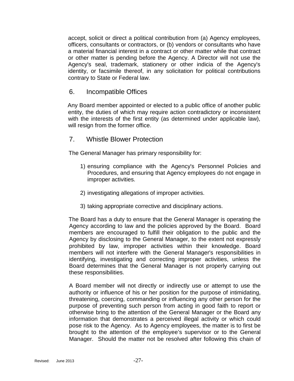accept, solicit or direct a political contribution from (a) Agency employees, officers, consultants or contractors, or (b) vendors or consultants who have a material financial interest in a contract or other matter while that contract or other matter is pending before the Agency. A Director will not use the Agency's seal, trademark, stationery or other indicia of the Agency's identity, or facsimile thereof, in any solicitation for political contributions contrary to State or Federal law.

#### <span id="page-26-0"></span>6. Incompatible Offices

Any Board member appointed or elected to a public office of another public entity, the duties of which may require action contradictory or inconsistent with the interests of the first entity (as determined under applicable law), will resign from the former office.

#### <span id="page-26-1"></span>7. Whistle Blower Protection

The General Manager has primary responsibility for:

- 1) ensuring compliance with the Agency's Personnel Policies and Procedures, and ensuring that Agency employees do not engage in improper activities.
- 2) investigating allegations of improper activities.
- 3) taking appropriate corrective and disciplinary actions.

The Board has a duty to ensure that the General Manager is operating the Agency according to law and the policies approved by the Board. Board members are encouraged to fulfill their obligation to the public and the Agency by disclosing to the General Manager, to the extent not expressly prohibited by law, improper activities within their knowledge. Board members will not interfere with the General Manager's responsibilities in identifying, investigating and correcting improper activities, unless the Board determines that the General Manager is not properly carrying out these responsibilities.

A Board member will not directly or indirectly use or attempt to use the authority or influence of his or her position for the purpose of intimidating, threatening, coercing, commanding or influencing any other person for the purpose of preventing such person from acting in good faith to report or otherwise bring to the attention of the General Manager or the Board any information that demonstrates a perceived illegal activity or which could pose risk to the Agency. As to Agency employees, the matter is to first be brought to the attention of the employee's supervisor or to the General Manager. Should the matter not be resolved after following this chain of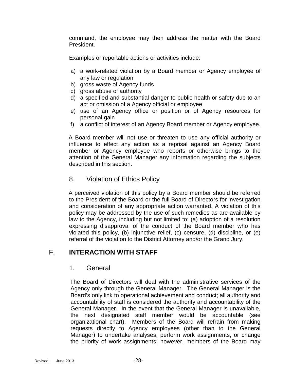command, the employee may then address the matter with the Board President.

Examples or reportable actions or activities include:

- a) a work-related violation by a Board member or Agency employee of any law or regulation
- b) gross waste of Agency funds
- c) gross abuse of authority
- d) a specified and substantial danger to public health or safety due to an act or omission of a Agency official or employee
- e) use of an Agency office or position or of Agency resources for personal gain
- f) a conflict of interest of an Agency Board member or Agency employee.

A Board member will not use or threaten to use any official authority or influence to effect any action as a reprisal against an Agency Board member or Agency employee who reports or otherwise brings to the attention of the General Manager any information regarding the subjects described in this section.

#### <span id="page-27-0"></span>8. Violation of Ethics Policy

A perceived violation of this policy by a Board member should be referred to the President of the Board or the full Board of Directors for investigation and consideration of any appropriate action warranted. A violation of this policy may be addressed by the use of such remedies as are available by law to the Agency, including but not limited to: (a) adoption of a resolution expressing disapproval of the conduct of the Board member who has violated this policy, (b) injunctive relief, (c) censure, (d) discipline, or (e) referral of the violation to the District Attorney and/or the Grand Jury.

#### <span id="page-27-2"></span><span id="page-27-1"></span>F. **INTERACTION WITH STAFF**

#### 1. General

The Board of Directors will deal with the administrative services of the Agency only through the General Manager. The General Manager is the Board's only link to operational achievement and conduct; all authority and accountability of staff is considered the authority and accountability of the General Manager. In the event that the General Manager is unavailable, the next designated staff member would be accountable (see organizational chart). Members of the Board will refrain from making requests directly to Agency employees (other than to the General Manager) to undertake analyses, perform work assignments, or change the priority of work assignments; however, members of the Board may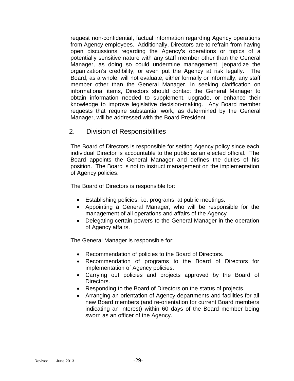request non-confidential, factual information regarding Agency operations from Agency employees. Additionally, Directors are to refrain from having open discussions regarding the Agency's operations or topics of a potentially sensitive nature with any staff member other than the General Manager, as doing so could undermine management, jeopardize the organization's credibility, or even put the Agency at risk legally. The Board, as a whole, will not evaluate, either formally or informally, any staff member other than the General Manager. In seeking clarification on informational items, Directors should contact the General Manager to obtain information needed to supplement, upgrade, or enhance their knowledge to improve legislative decision-making. Any Board member requests that require substantial work, as determined by the General Manager, will be addressed with the Board President.

#### <span id="page-28-0"></span>2. Division of Responsibilities

The Board of Directors is responsible for setting Agency policy since each individual Director is accountable to the public as an elected official. The Board appoints the General Manager and defines the duties of his position. The Board is not to instruct management on the implementation of Agency policies.

The Board of Directors is responsible for:

- Establishing policies, i.e. programs, at public meetings.
- Appointing a General Manager, who will be responsible for the management of all operations and affairs of the Agency
- Delegating certain powers to the General Manager in the operation of Agency affairs.

The General Manager is responsible for:

- Recommendation of policies to the Board of Directors.
- Recommendation of programs to the Board of Directors for implementation of Agency policies.
- Carrying out policies and projects approved by the Board of Directors.
- Responding to the Board of Directors on the status of projects.
- Arranging an orientation of Agency departments and facilities for all new Board members (and re-orientation for current Board members indicating an interest) within 60 days of the Board member being sworn as an officer of the Agency.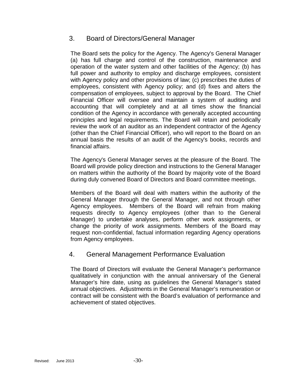#### <span id="page-29-0"></span>3. Board of Directors/General Manager

The Board sets the policy for the Agency. The Agency's General Manager (a) has full charge and control of the construction, maintenance and operation of the water system and other facilities of the Agency; (b) has full power and authority to employ and discharge employees, consistent with Agency policy and other provisions of law; (c) prescribes the duties of employees, consistent with Agency policy; and (d) fixes and alters the compensation of employees, subject to approval by the Board. The Chief Financial Officer will oversee and maintain a system of auditing and accounting that will completely and at all times show the financial condition of the Agency in accordance with generally accepted accounting principles and legal requirements. The Board will retain and periodically review the work of an auditor as an independent contractor of the Agency (other than the Chief Financial Officer), who will report to the Board on an annual basis the results of an audit of the Agency's books, records and financial affairs.

The Agency's General Manager serves at the pleasure of the Board. The Board will provide policy direction and instructions to the General Manager on matters within the authority of the Board by majority vote of the Board during duly convened Board of Directors and Board committee meetings.

Members of the Board will deal with matters within the authority of the General Manager through the General Manager, and not through other Agency employees. Members of the Board will refrain from making requests directly to Agency employees (other than to the General Manager) to undertake analyses, perform other work assignments, or change the priority of work assignments. Members of the Board may request non-confidential, factual information regarding Agency operations from Agency employees.

#### <span id="page-29-1"></span>4. General Management Performance Evaluation

The Board of Directors will evaluate the General Manager's performance qualitatively in conjunction with the annual anniversary of the General Manager's hire date, using as guidelines the General Manager's stated annual objectives. Adjustments in the General Manager's remuneration or contract will be consistent with the Board's evaluation of performance and achievement of stated objectives.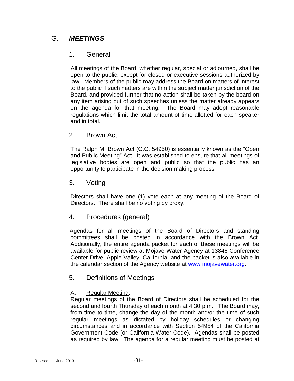#### <span id="page-30-1"></span><span id="page-30-0"></span>G. *MEETINGS*

#### 1. General

All meetings of the Board, whether regular, special or adjourned, shall be open to the public, except for closed or executive sessions authorized by law. Members of the public may address the Board on matters of interest to the public if such matters are within the subject matter jurisdiction of the Board, and provided further that no action shall be taken by the board on any item arising out of such speeches unless the matter already appears on the agenda for that meeting. The Board may adopt reasonable regulations which limit the total amount of time allotted for each speaker and in total.

#### <span id="page-30-2"></span>2. Brown Act

The Ralph M. Brown Act (G.C. 54950) is essentially known as the "Open and Public Meeting" Act. It was established to ensure that all meetings of legislative bodies are open and public so that the public has an opportunity to participate in the decision-making process.

#### <span id="page-30-3"></span>3. Voting

Directors shall have one (1) vote each at any meeting of the Board of Directors. There shall be no voting by proxy.

#### <span id="page-30-4"></span>4. Procedures (general)

Agendas for all meetings of the Board of Directors and standing committees shall be posted in accordance with the Brown Act. Additionally, the entire agenda packet for each of these meetings will be available for public review at Mojave Water Agency at 13846 Conference Center Drive, Apple Valley, California, and the packet is also available in the calendar section of the Agency website at [www.mojavewater.org.](http://www.mojavewater.org/)

#### <span id="page-30-5"></span>5. Definitions of Meetings

#### A. Regular Meeting:

Regular meetings of the Board of Directors shall be scheduled for the second and fourth Thursday of each month at 4:30 p.m.. The Board may, from time to time, change the day of the month and/or the time of such regular meetings as dictated by holiday schedules or changing circumstances and in accordance with Section 54954 of the California Government Code (or California Water Code). Agendas shall be posted as required by law. The agenda for a regular meeting must be posted at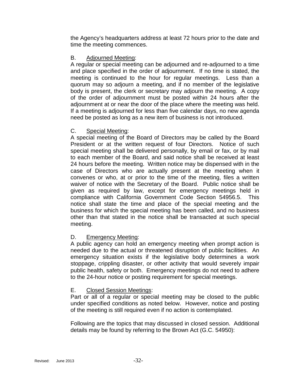the Agency's headquarters address at least 72 hours prior to the date and time the meeting commences.

#### B. Adjourned Meeting:

A regular or special meeting can be adjourned and re-adjourned to a time and place specified in the order of adjournment. If no time is stated, the meeting is continued to the hour for regular meetings. Less than a quorum may so adjourn a meeting, and if no member of the legislative body is present, the clerk or secretary may adjourn the meeting. A copy of the order of adjournment must be posted within 24 hours after the adjournment at or near the door of the place where the meeting was held. If a meeting is adjourned for less than five calendar days, no new agenda need be posted as long as a new item of business is not introduced.

#### C. Special Meeting:

A special meeting of the Board of Directors may be called by the Board President or at the written request of four Directors. Notice of such special meeting shall be delivered personally, by email or fax, or by mail to each member of the Board, and said notice shall be received at least 24 hours before the meeting. Written notice may be dispensed with in the case of Directors who are actually present at the meeting when it convenes or who, at or prior to the time of the meeting, files a written waiver of notice with the Secretary of the Board. Public notice shall be given as required by law, except for emergency meetings held in compliance with California Government Code Section 54956.5. This notice shall state the time and place of the special meeting and the business for which the special meeting has been called, and no business other than that stated in the notice shall be transacted at such special meeting.

#### D. Emergency Meeting:

A public agency can hold an emergency meeting when prompt action is needed due to the actual or threatened disruption of public facilities. An emergency situation exists if the legislative body determines a work stoppage, crippling disaster, or other activity that would severely impair public health, safety or both. Emergency meetings do not need to adhere to the 24-hour notice or posting requirement for special meetings.

#### E. Closed Session Meetings:

Part or all of a regular or special meeting may be closed to the public under specified conditions as noted below. However, notice and posting of the meeting is still required even if no action is contemplated.

Following are the topics that may discussed in closed session. Additional details may be found by referring to the Brown Act (G.C. 54950):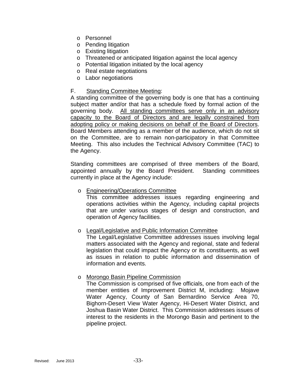- o Personnel
- o Pending litigation
- o Existing litigation
- o Threatened or anticipated litigation against the local agency
- o Potential litigation initiated by the local agency
- o Real estate negotiations
- o Labor negotiations

#### F. Standing Committee Meeting:

A standing committee of the governing body is one that has a continuing subject matter and/or that has a schedule fixed by formal action of the governing body. All standing committees serve only in an advisory capacity to the Board of Directors and are legally constrained from adopting policy or making decisions on behalf of the Board of Directors. Board Members attending as a member of the audience, which do not sit on the Committee, are to remain non-participatory in that Committee Meeting. This also includes the Technical Advisory Committee (TAC) to the Agency.

Standing committees are comprised of three members of the Board, appointed annually by the Board President. Standing committees currently in place at the Agency include:

o Engineering/Operations Committee This committee addresses issues regarding engineering and operations activities within the Agency, including capital projects that are under various stages of design and construction, and operation of Agency facilities.

#### o Legal/Legislative and Public Information Committee

The Legal/Legislative Committee addresses issues involving legal matters associated with the Agency and regional, state and federal legislation that could impact the Agency or its constituents, as well as issues in relation to public information and dissemination of information and events.

#### o Morongo Basin Pipeline Commission

The Commission is comprised of five officials, one from each of the member entities of Improvement District M, including: Mojave Water Agency, County of San Bernardino Service Area 70, Bighorn-Desert View Water Agency, Hi-Desert Water District, and Joshua Basin Water District. This Commission addresses issues of interest to the residents in the Morongo Basin and pertinent to the pipeline project.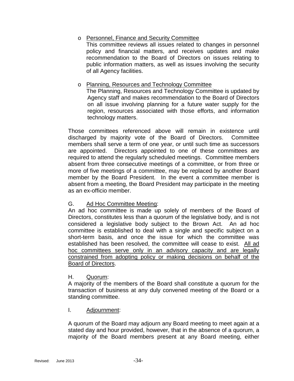#### o Personnel, Finance and Security Committee

This committee reviews all issues related to changes in personnel policy and financial matters, and receives updates and make recommendation to the Board of Directors on issues relating to public information matters, as well as issues involving the security of all Agency facilities.

#### o Planning, Resources and Technology Committee

The Planning, Resources and Technology Committee is updated by Agency staff and makes recommendation to the Board of Directors on all issue involving planning for a future water supply for the region, resources associated with those efforts, and information technology matters.

Those committees referenced above will remain in existence until discharged by majority vote of the Board of Directors. Committee members shall serve a term of one year, or until such time as successors are appointed. Directors appointed to one of these committees are required to attend the regularly scheduled meetings. Committee members absent from three consecutive meetings of a committee, or from three or more of five meetings of a committee, may be replaced by another Board member by the Board President. In the event a committee member is absent from a meeting, the Board President may participate in the meeting as an ex-officio member.

#### G. Ad Hoc Committee Meeting:

An ad hoc committee is made up solely of members of the Board of Directors, constitutes less than a quorum of the legislative body, and is not considered a legislative body subject to the Brown Act. An ad hoc committee is established to deal with a single and specific subject on a short-term basis, and once the issue for which the committee was established has been resolved, the committee will cease to exist. All ad hoc committees serve only in an advisory capacity and are legally constrained from adopting policy or making decisions on behalf of the Board of Directors.

#### H. Quorum:

A majority of the members of the Board shall constitute a quorum for the transaction of business at any duly convened meeting of the Board or a standing committee.

#### I. Adjournment:

A quorum of the Board may adjourn any Board meeting to meet again at a stated day and hour provided, however, that in the absence of a quorum, a majority of the Board members present at any Board meeting, either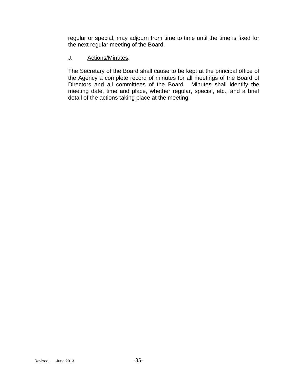regular or special, may adjourn from time to time until the time is fixed for the next regular meeting of the Board.

#### J. Actions/Minutes:

The Secretary of the Board shall cause to be kept at the principal office of the Agency a complete record of minutes for all meetings of the Board of Directors and all committees of the Board. Minutes shall identify the meeting date, time and place, whether regular, special, etc., and a brief detail of the actions taking place at the meeting.